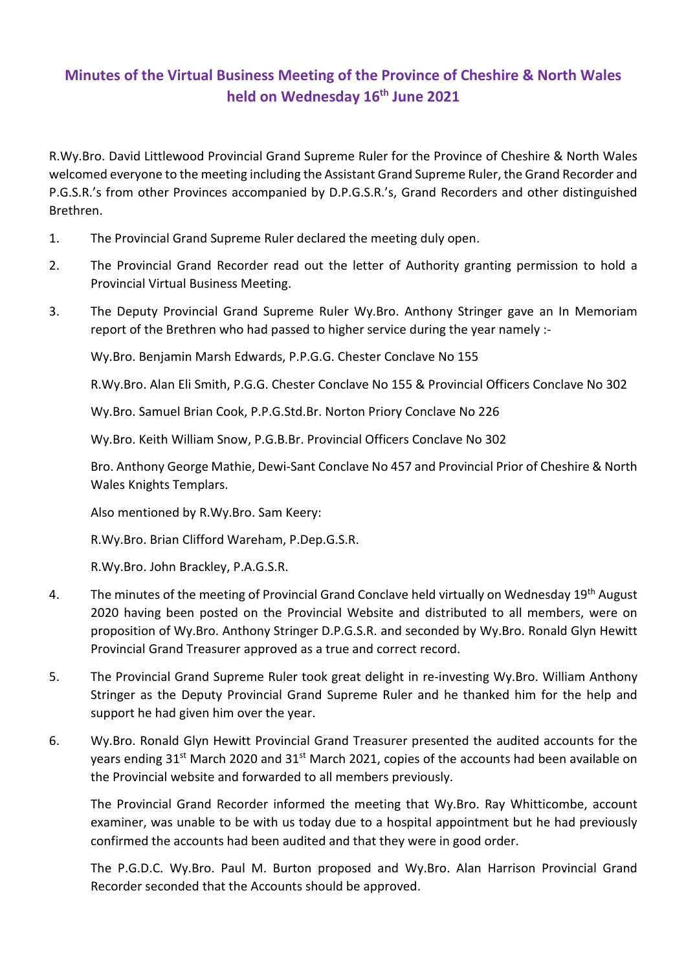## **Minutes of the Virtual Business Meeting of the Province of Cheshire & North Wales held on Wednesday 16th June 2021**

R.Wy.Bro. David Littlewood Provincial Grand Supreme Ruler for the Province of Cheshire & North Wales welcomed everyone to the meeting including the Assistant Grand Supreme Ruler, the Grand Recorder and P.G.S.R.'s from other Provinces accompanied by D.P.G.S.R.'s, Grand Recorders and other distinguished Brethren.

- 1. The Provincial Grand Supreme Ruler declared the meeting duly open.
- 2. The Provincial Grand Recorder read out the letter of Authority granting permission to hold a Provincial Virtual Business Meeting.
- 3. The Deputy Provincial Grand Supreme Ruler Wy.Bro. Anthony Stringer gave an In Memoriam report of the Brethren who had passed to higher service during the year namely :-

Wy.Bro. Benjamin Marsh Edwards, P.P.G.G. Chester Conclave No 155

R.Wy.Bro. Alan Eli Smith, P.G.G. Chester Conclave No 155 & Provincial Officers Conclave No 302

Wy.Bro. Samuel Brian Cook, P.P.G.Std.Br. Norton Priory Conclave No 226

Wy.Bro. Keith William Snow, P.G.B.Br. Provincial Officers Conclave No 302

 Bro. Anthony George Mathie, Dewi-Sant Conclave No 457 and Provincial Prior of Cheshire & North Wales Knights Templars.

Also mentioned by R.Wy.Bro. Sam Keery:

R.Wy.Bro. Brian Clifford Wareham, P.Dep.G.S.R.

R.Wy.Bro. John Brackley, P.A.G.S.R.

- 4. The minutes of the meeting of Provincial Grand Conclave held virtually on Wednesday 19<sup>th</sup> August 2020 having been posted on the Provincial Website and distributed to all members, were on proposition of Wy.Bro. Anthony Stringer D.P.G.S.R. and seconded by Wy.Bro. Ronald Glyn Hewitt Provincial Grand Treasurer approved as a true and correct record.
- 5. The Provincial Grand Supreme Ruler took great delight in re-investing Wy.Bro. William Anthony Stringer as the Deputy Provincial Grand Supreme Ruler and he thanked him for the help and support he had given him over the year.
- 6. Wy.Bro. Ronald Glyn Hewitt Provincial Grand Treasurer presented the audited accounts for the years ending  $31^{st}$  March 2020 and  $31^{st}$  March 2021, copies of the accounts had been available on the Provincial website and forwarded to all members previously.

The Provincial Grand Recorder informed the meeting that Wy.Bro. Ray Whitticombe, account examiner, was unable to be with us today due to a hospital appointment but he had previously confirmed the accounts had been audited and that they were in good order.

 The P.G.D.C. Wy.Bro. Paul M. Burton proposed and Wy.Bro. Alan Harrison Provincial Grand Recorder seconded that the Accounts should be approved.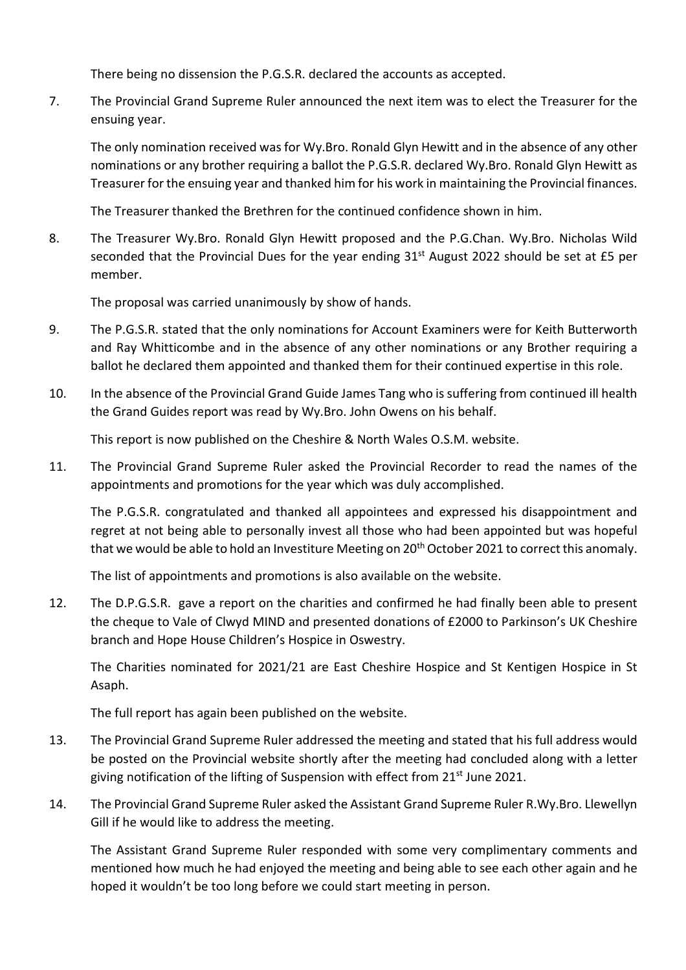There being no dissension the P.G.S.R. declared the accounts as accepted.

7. The Provincial Grand Supreme Ruler announced the next item was to elect the Treasurer for the ensuing year.

 The only nomination received was for Wy.Bro. Ronald Glyn Hewitt and in the absence of any other nominations or any brother requiring a ballot the P.G.S.R. declared Wy.Bro. Ronald Glyn Hewitt as Treasurer for the ensuing year and thanked him for his work in maintaining the Provincial finances.

The Treasurer thanked the Brethren for the continued confidence shown in him.

8. The Treasurer Wy.Bro. Ronald Glyn Hewitt proposed and the P.G.Chan. Wy.Bro. Nicholas Wild seconded that the Provincial Dues for the year ending  $31<sup>st</sup>$  August 2022 should be set at £5 per member.

The proposal was carried unanimously by show of hands.

- 9. The P.G.S.R. stated that the only nominations for Account Examiners were for Keith Butterworth and Ray Whitticombe and in the absence of any other nominations or any Brother requiring a ballot he declared them appointed and thanked them for their continued expertise in this role.
- 10. In the absence of the Provincial Grand Guide James Tang who is suffering from continued ill health the Grand Guides report was read by Wy.Bro. John Owens on his behalf.

This report is now published on the Cheshire & North Wales O.S.M. website.

11. The Provincial Grand Supreme Ruler asked the Provincial Recorder to read the names of the appointments and promotions for the year which was duly accomplished.

 The P.G.S.R. congratulated and thanked all appointees and expressed his disappointment and regret at not being able to personally invest all those who had been appointed but was hopeful that we would be able to hold an Investiture Meeting on 20<sup>th</sup> October 2021 to correct this anomaly.

The list of appointments and promotions is also available on the website.

12. The D.P.G.S.R. gave a report on the charities and confirmed he had finally been able to present the cheque to Vale of Clwyd MIND and presented donations of £2000 to Parkinson's UK Cheshire branch and Hope House Children's Hospice in Oswestry.

 The Charities nominated for 2021/21 are East Cheshire Hospice and St Kentigen Hospice in St Asaph.

The full report has again been published on the website.

- 13. The Provincial Grand Supreme Ruler addressed the meeting and stated that his full address would be posted on the Provincial website shortly after the meeting had concluded along with a letter giving notification of the lifting of Suspension with effect from 21<sup>st</sup> June 2021.
- 14. The Provincial Grand Supreme Ruler asked the Assistant Grand Supreme Ruler R.Wy.Bro. Llewellyn Gill if he would like to address the meeting.

 The Assistant Grand Supreme Ruler responded with some very complimentary comments and mentioned how much he had enjoyed the meeting and being able to see each other again and he hoped it wouldn't be too long before we could start meeting in person.